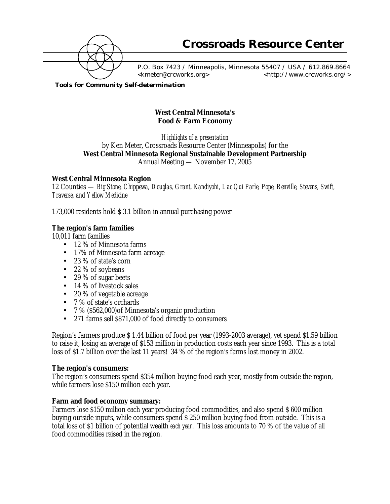

 P.O. Box 7423 / Minneapolis, Minnesota 55407 / USA / 612.869.8664 <kmeter@crcworks.org> <http://www.crcworks.org/>

*Tools for Community Self-determination*

# **West Central Minnesota's Food & Farm Economy**

*Highlights of a presentation* by Ken Meter, Crossroads Resource Center (Minneapolis) for the **West Central Minnesota Regional Sustainable Development Partnership** Annual Meeting — November 17, 2005

## **West Central Minnesota Region**

12 Counties — *Big Stone, Chippewa, Douglas, Grant, Kandiyohi, Lac Qui Parle, Pope, Renville, Stevens, Swift, Traverse, and Yellow Medicine*

173,000 residents hold \$ 3.1 billion in annual purchasing power

## **The region's farm families**

10,011 farm families

- 12 % of Minnesota farms
- 17% of Minnesota farm acreage
- 23 % of state's corn
- 22 % of soybeans
- 29 % of sugar beets
- 14 % of livestock sales
- 20 % of vegetable acreage
- 7 % of state's orchards
- 7 % (\$562,000)of Minnesota's organic production
- 271 farms sell \$871,000 of food directly to consumers

Region's farmers produce \$ 1.44 billion of food per year (1993-2003 average), yet spend \$1.59 billion to raise it, losing an average of \$153 million in production costs each year since 1993. This is a total loss of \$1.7 billion over the last 11 years! 34 % of the region's farms lost money in 2002.

### **The region's consumers:**

The region's consumers spend \$354 million buying food each year, mostly from outside the region, while farmers lose \$150 million each year.

### **Farm and food economy summary:**

Farmers lose \$150 million each year producing food commodities, and also spend \$ 600 million buying outside inputs, while consumers spend \$ 250 million buying food from outside. This is a total loss of \$1 billion of potential wealth *each year*. This loss amounts to 70 % of the value of all food commodities raised in the region.